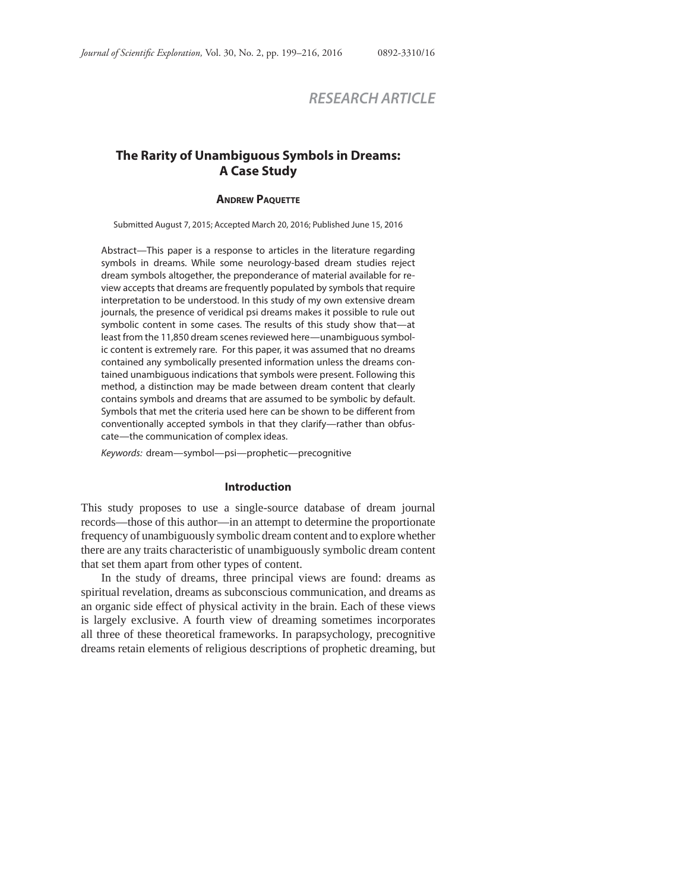# *RESEARCH ARTICLE*

## **The Rarity of Unambiguous Symbols in Dreams: A Case Study**

## **ANDREW PAQUETTE**

Submitted August 7, 2015; Accepted March 20, 2016; Published June 15, 2016

Abstract—This paper is a response to articles in the literature regarding symbols in dreams. While some neurology-based dream studies reject dream symbols altogether, the preponderance of material available for review accepts that dreams are frequently populated by symbols that require interpretation to be understood. In this study of my own extensive dream journals, the presence of veridical psi dreams makes it possible to rule out symbolic content in some cases. The results of this study show that—at least from the 11,850 dream scenes reviewed here—unambiguous symbolic content is extremely rare. For this paper, it was assumed that no dreams contained any symbolically presented information unless the dreams contained unambiguous indications that symbols were present. Following this method, a distinction may be made between dream content that clearly contains symbols and dreams that are assumed to be symbolic by default. Symbols that met the criteria used here can be shown to be different from conventionally accepted symbols in that they clarify—rather than obfuscate—the communication of complex ideas.

Keywords: dream—symbol—psi—prophetic—precognitive

## **Introduction**

This study proposes to use a single-source database of dream journal records—those of this author—in an attempt to determine the proportionate frequency of unambiguously symbolic dream content and to explore whether there are any traits characteristic of unambiguously symbolic dream content that set them apart from other types of content.

In the study of dreams, three principal views are found: dreams as spiritual revelation, dreams as subconscious communication, and dreams as an organic side effect of physical activity in the brain. Each of these views is largely exclusive. A fourth view of dreaming sometimes incorporates all three of these theoretical frameworks. In parapsychology, precognitive dreams retain elements of religious descriptions of prophetic dreaming, but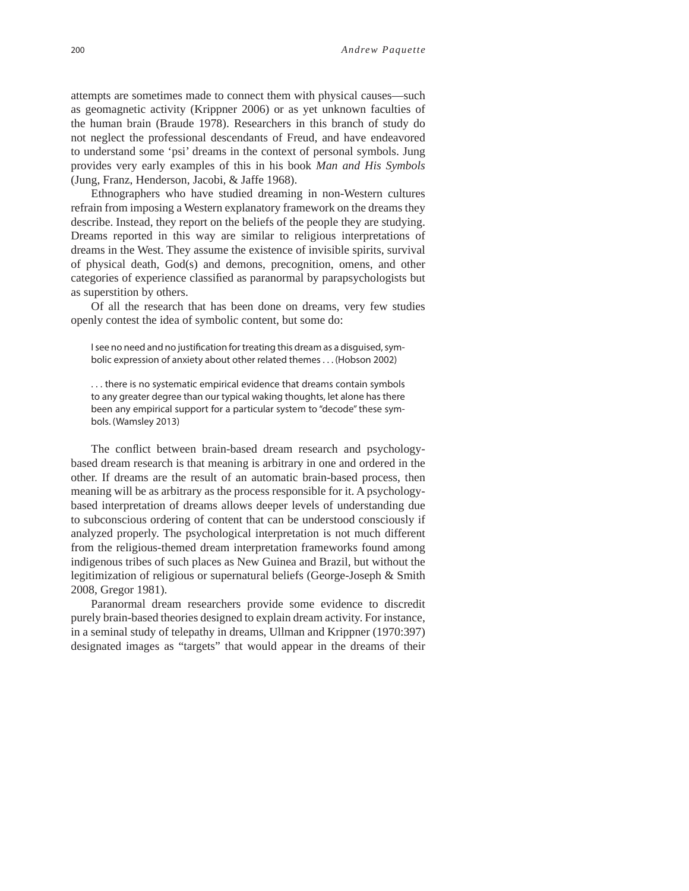attempts are sometimes made to connect them with physical causes—such as geomagnetic activity (Krippner 2006) or as yet unknown faculties of the human brain (Braude 1978). Researchers in this branch of study do not neglect the professional descendants of Freud, and have endeavored to understand some 'psi' dreams in the context of personal symbols. Jung provides very early examples of this in his book *Man and His Symbols*  (Jung, Franz, Henderson, Jacobi, & Jaffe 1968).

Ethnographers who have studied dreaming in non-Western cultures refrain from imposing a Western explanatory framework on the dreams they describe. Instead, they report on the beliefs of the people they are studying. Dreams reported in this way are similar to religious interpretations of dreams in the West. They assume the existence of invisible spirits, survival of physical death, God(s) and demons, precognition, omens, and other categories of experience classified as paranormal by parapsychologists but as superstition by others.

Of all the research that has been done on dreams, very few studies openly contest the idea of symbolic content, but some do:

I see no need and no justification for treating this dream as a disguised, symbolic expression of anxiety about other related themes . . . (Hobson 2002)

. . . there is no systematic empirical evidence that dreams contain symbols to any greater degree than our typical waking thoughts, let alone has there been any empirical support for a particular system to "decode" these symbols. (Wamsley 2013)

The conflict between brain-based dream research and psychologybased dream research is that meaning is arbitrary in one and ordered in the other. If dreams are the result of an automatic brain-based process, then meaning will be as arbitrary as the process responsible for it. A psychologybased interpretation of dreams allows deeper levels of understanding due to subconscious ordering of content that can be understood consciously if analyzed properly. The psychological interpretation is not much different from the religious-themed dream interpretation frameworks found among indigenous tribes of such places as New Guinea and Brazil, but without the legitimization of religious or supernatural beliefs (George-Joseph & Smith 2008, Gregor 1981).

Paranormal dream researchers provide some evidence to discredit purely brain-based theories designed to explain dream activity. For instance, in a seminal study of telepathy in dreams, Ullman and Krippner (1970:397) designated images as "targets" that would appear in the dreams of their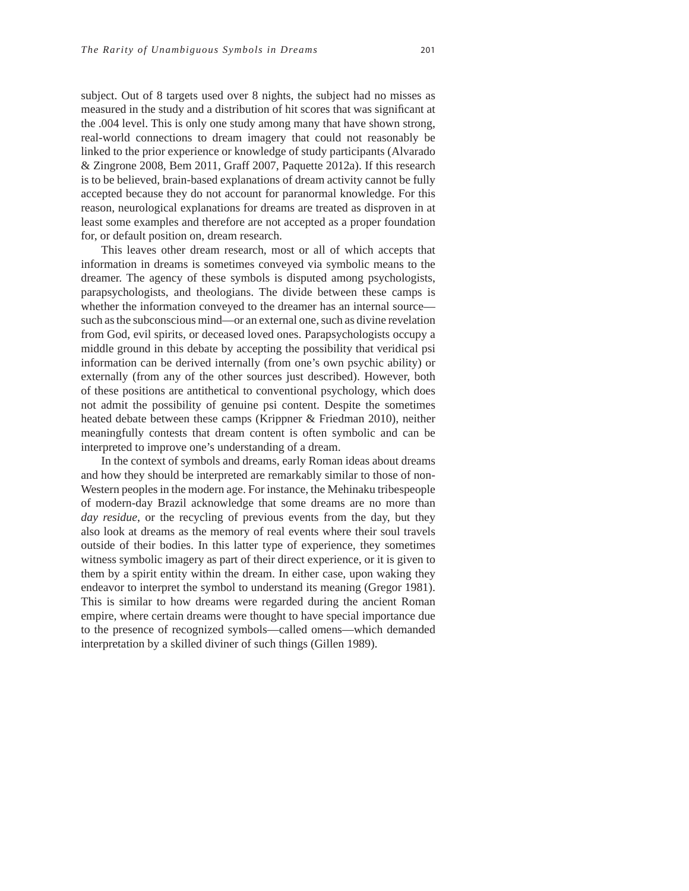subject. Out of 8 targets used over 8 nights, the subject had no misses as measured in the study and a distribution of hit scores that was significant at the .004 level. This is only one study among many that have shown strong, real-world connections to dream imagery that could not reasonably be linked to the prior experience or knowledge of study participants (Alvarado & Zingrone 2008, Bem 2011, Graff 2007, Paquette 2012a). If this research is to be believed, brain-based explanations of dream activity cannot be fully accepted because they do not account for paranormal knowledge. For this reason, neurological explanations for dreams are treated as disproven in at least some examples and therefore are not accepted as a proper foundation for, or default position on, dream research.

This leaves other dream research, most or all of which accepts that information in dreams is sometimes conveyed via symbolic means to the dreamer. The agency of these symbols is disputed among psychologists, parapsychologists, and theologians. The divide between these camps is whether the information conveyed to the dreamer has an internal source such as the subconscious mind—or an external one, such as divine revelation from God, evil spirits, or deceased loved ones. Parapsychologists occupy a middle ground in this debate by accepting the possibility that veridical psi information can be derived internally (from one's own psychic ability) or externally (from any of the other sources just described). However, both of these positions are antithetical to conventional psychology, which does not admit the possibility of genuine psi content. Despite the sometimes heated debate between these camps (Krippner & Friedman 2010), neither meaningfully contests that dream content is often symbolic and can be interpreted to improve one's understanding of a dream.

In the context of symbols and dreams, early Roman ideas about dreams and how they should be interpreted are remarkably similar to those of non-Western peoples in the modern age. For instance, the Mehinaku tribespeople of modern-day Brazil acknowledge that some dreams are no more than *day residue*, or the recycling of previous events from the day, but they also look at dreams as the memory of real events where their soul travels outside of their bodies. In this latter type of experience, they sometimes witness symbolic imagery as part of their direct experience, or it is given to them by a spirit entity within the dream. In either case, upon waking they endeavor to interpret the symbol to understand its meaning (Gregor 1981). This is similar to how dreams were regarded during the ancient Roman empire, where certain dreams were thought to have special importance due to the presence of recognized symbols—called omens—which demanded interpretation by a skilled diviner of such things (Gillen 1989).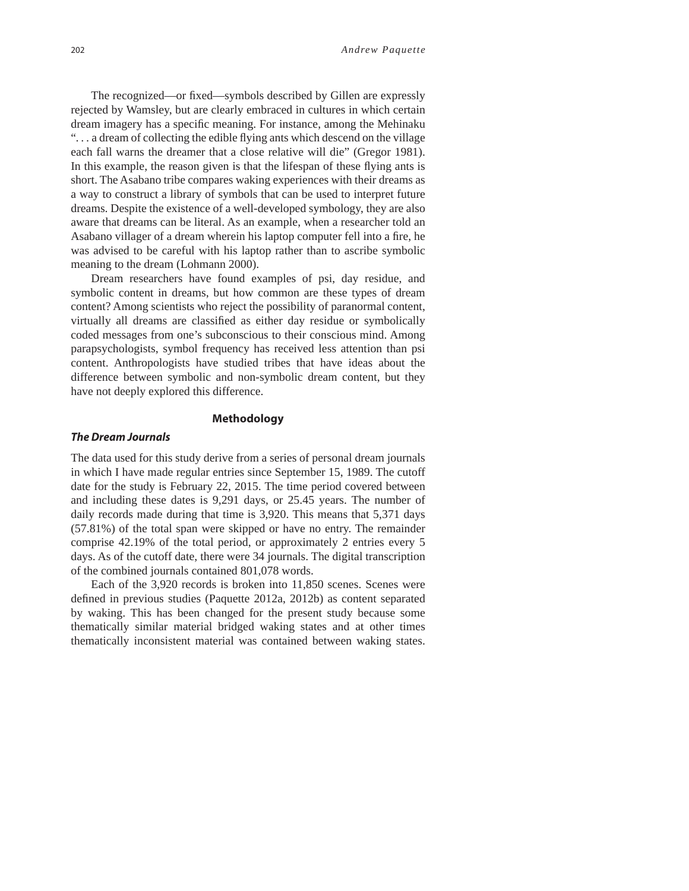The recognized—or fixed—symbols described by Gillen are expressly rejected by Wamsley, but are clearly embraced in cultures in which certain dream imagery has a specific meaning. For instance, among the Mehinaku "... a dream of collecting the edible flying ants which descend on the village"... each fall warns the dreamer that a close relative will die" (Gregor 1981). In this example, the reason given is that the lifespan of these flying ants is short. The Asabano tribe compares waking experiences with their dreams as a way to construct a library of symbols that can be used to interpret future dreams. Despite the existence of a well-developed symbology, they are also aware that dreams can be literal. As an example, when a researcher told an Asabano villager of a dream wherein his laptop computer fell into a fire, he was advised to be careful with his laptop rather than to ascribe symbolic meaning to the dream (Lohmann 2000).

Dream researchers have found examples of psi, day residue, and symbolic content in dreams, but how common are these types of dream content? Among scientists who reject the possibility of paranormal content, virtually all dreams are classified as either day residue or symbolically coded messages from one's subconscious to their conscious mind. Among parapsychologists, symbol frequency has received less attention than psi content. Anthropologists have studied tribes that have ideas about the difference between symbolic and non-symbolic dream content, but they have not deeply explored this difference.

#### **Methodology**

### *The Dream Journals*

The data used for this study derive from a series of personal dream journals in which I have made regular entries since September 15, 1989. The cutoff date for the study is February 22, 2015. The time period covered between and including these dates is 9,291 days, or 25.45 years. The number of daily records made during that time is 3,920. This means that 5,371 days (57.81%) of the total span were skipped or have no entry. The remainder comprise 42.19% of the total period, or approximately 2 entries every 5 days. As of the cutoff date, there were 34 journals. The digital transcription of the combined journals contained 801,078 words.

Each of the 3,920 records is broken into 11,850 scenes. Scenes were defined in previous studies (Paquette 2012a, 2012b) as content separated by waking. This has been changed for the present study because some thematically similar material bridged waking states and at other times thematically inconsistent material was contained between waking states.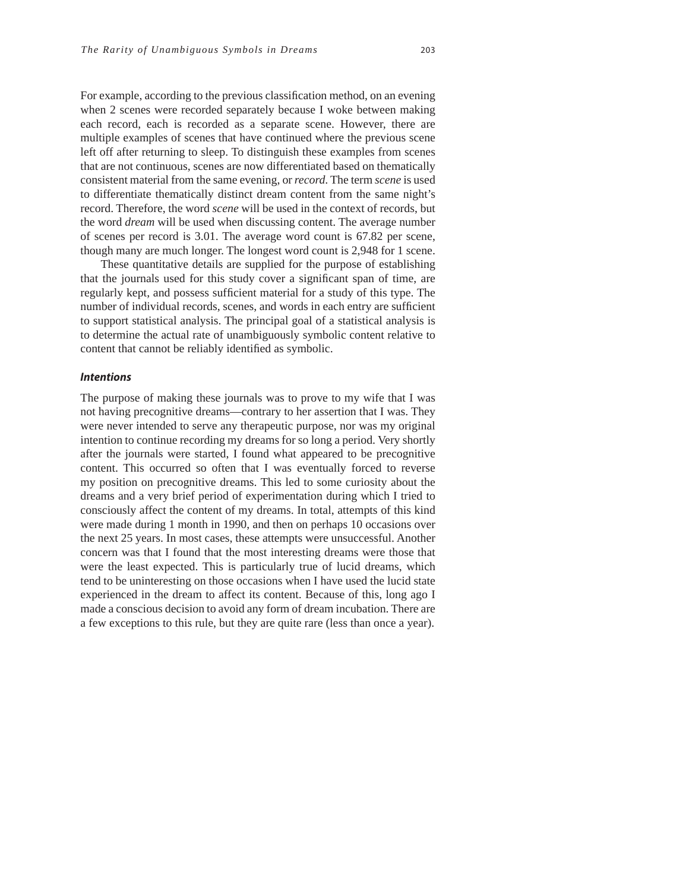For example, according to the previous classification method, on an evening when 2 scenes were recorded separately because I woke between making each record, each is recorded as a separate scene. However, there are multiple examples of scenes that have continued where the previous scene left off after returning to sleep. To distinguish these examples from scenes that are not continuous, scenes are now differentiated based on thematically consistent material from the same evening, or *record*. The term *scene* is used to differentiate thematically distinct dream content from the same night's record. Therefore, the word *scene* will be used in the context of records, but the word *dream* will be used when discussing content. The average number of scenes per record is 3.01. The average word count is 67.82 per scene, though many are much longer. The longest word count is 2,948 for 1 scene.

These quantitative details are supplied for the purpose of establishing that the journals used for this study cover a significant span of time, are regularly kept, and possess sufficient material for a study of this type. The number of individual records, scenes, and words in each entry are sufficient to support statistical analysis. The principal goal of a statistical analysis is to determine the actual rate of unambiguously symbolic content relative to content that cannot be reliably identified as symbolic.

#### *Intentions*

The purpose of making these journals was to prove to my wife that I was not having precognitive dreams—contrary to her assertion that I was. They were never intended to serve any therapeutic purpose, nor was my original intention to continue recording my dreams for so long a period. Very shortly after the journals were started, I found what appeared to be precognitive content. This occurred so often that I was eventually forced to reverse my position on precognitive dreams. This led to some curiosity about the dreams and a very brief period of experimentation during which I tried to consciously affect the content of my dreams. In total, attempts of this kind were made during 1 month in 1990, and then on perhaps 10 occasions over the next 25 years. In most cases, these attempts were unsuccessful. Another concern was that I found that the most interesting dreams were those that were the least expected. This is particularly true of lucid dreams, which tend to be uninteresting on those occasions when I have used the lucid state experienced in the dream to affect its content. Because of this, long ago I made a conscious decision to avoid any form of dream incubation. There are a few exceptions to this rule, but they are quite rare (less than once a year).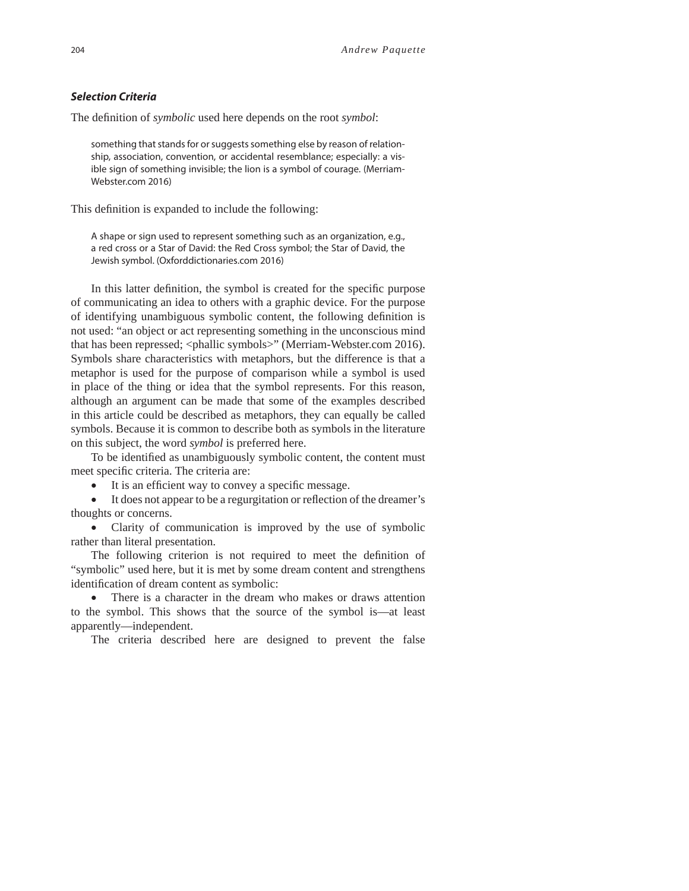#### *Selection Criteria*

The definition of *symbolic* used here depends on the root *symbol*:

something that stands for or suggests something else by reason of relationship, association, convention, or accidental resemblance; especially: a visible sign of something invisible; the lion is a symbol of courage. (Merriam-Webster.com 2016)

This definition is expanded to include the following:

A shape or sign used to represent something such as an organization, e.g., a red cross or a Star of David: the Red Cross symbol; the Star of David, the Jewish symbol. (Oxforddictionaries.com 2016)

In this latter definition, the symbol is created for the specific purpose of communicating an idea to others with a graphic device. For the purpose of identifying unambiguous symbolic content, the following definition is not used: "an object or act representing something in the unconscious mind that has been repressed; <phallic symbols>" (Merriam-Webster.com 2016). Symbols share characteristics with metaphors, but the difference is that a metaphor is used for the purpose of comparison while a symbol is used in place of the thing or idea that the symbol represents. For this reason, although an argument can be made that some of the examples described in this article could be described as metaphors, they can equally be called symbols. Because it is common to describe both as symbols in the literature on this subject, the word *symbol* is preferred here.

To be identified as unambiguously symbolic content, the content must meet specific criteria. The criteria are:

It is an efficient way to convey a specific message.

It does not appear to be a regurgitation or reflection of the dreamer's thoughts or concerns.

 Clarity of communication is improved by the use of symbolic rather than literal presentation.

The following criterion is not required to meet the definition of "symbolic" used here, but it is met by some dream content and strengthens identification of dream content as symbolic:

 There is a character in the dream who makes or draws attention to the symbol. This shows that the source of the symbol is—at least apparently—independent.

The criteria described here are designed to prevent the false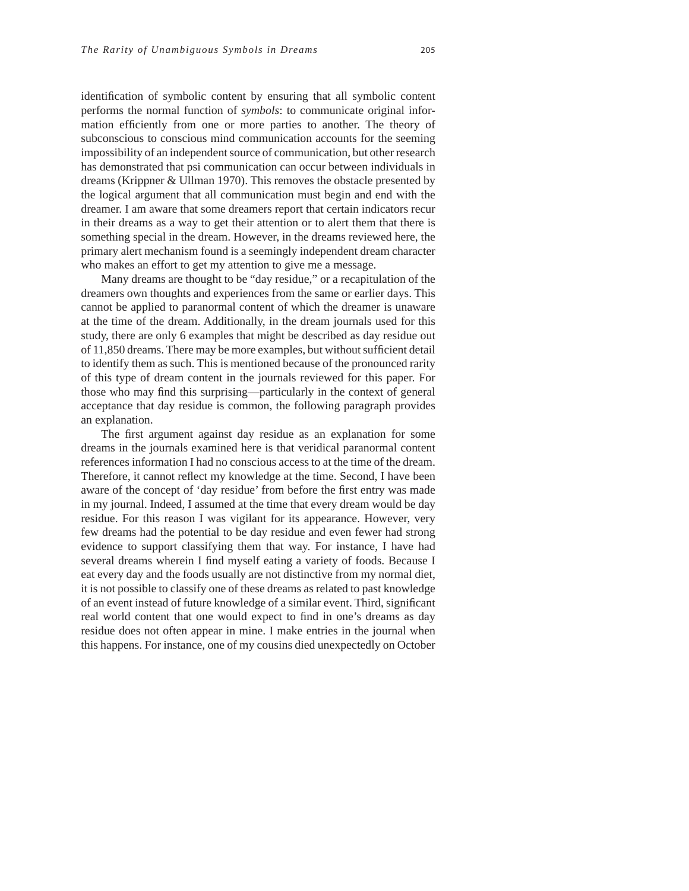identification of symbolic content by ensuring that all symbolic content performs the normal function of *symbols*: to communicate original information efficiently from one or more parties to another. The theory of subconscious to conscious mind communication accounts for the seeming impossibility of an independent source of communication, but other research has demonstrated that psi communication can occur between individuals in dreams (Krippner & Ullman 1970). This removes the obstacle presented by the logical argument that all communication must begin and end with the dreamer. I am aware that some dreamers report that certain indicators recur in their dreams as a way to get their attention or to alert them that there is something special in the dream. However, in the dreams reviewed here, the primary alert mechanism found is a seemingly independent dream character who makes an effort to get my attention to give me a message.

Many dreams are thought to be "day residue," or a recapitulation of the dreamers own thoughts and experiences from the same or earlier days. This cannot be applied to paranormal content of which the dreamer is unaware at the time of the dream. Additionally, in the dream journals used for this study, there are only 6 examples that might be described as day residue out of 11,850 dreams. There may be more examples, but without sufficient detail to identify them as such. This is mentioned because of the pronounced rarity of this type of dream content in the journals reviewed for this paper. For those who may find this surprising—particularly in the context of general acceptance that day residue is common, the following paragraph provides an explanation.

The first argument against day residue as an explanation for some dreams in the journals examined here is that veridical paranormal content references information I had no conscious access to at the time of the dream. Therefore, it cannot reflect my knowledge at the time. Second, I have been aware of the concept of 'day residue' from before the first entry was made in my journal. Indeed, I assumed at the time that every dream would be day residue. For this reason I was vigilant for its appearance. However, very few dreams had the potential to be day residue and even fewer had strong evidence to support classifying them that way. For instance, I have had several dreams wherein I find myself eating a variety of foods. Because I eat every day and the foods usually are not distinctive from my normal diet, it is not possible to classify one of these dreams as related to past knowledge of an event instead of future knowledge of a similar event. Third, significant real world content that one would expect to find in one's dreams as day residue does not often appear in mine. I make entries in the journal when this happens. For instance, one of my cousins died unexpectedly on October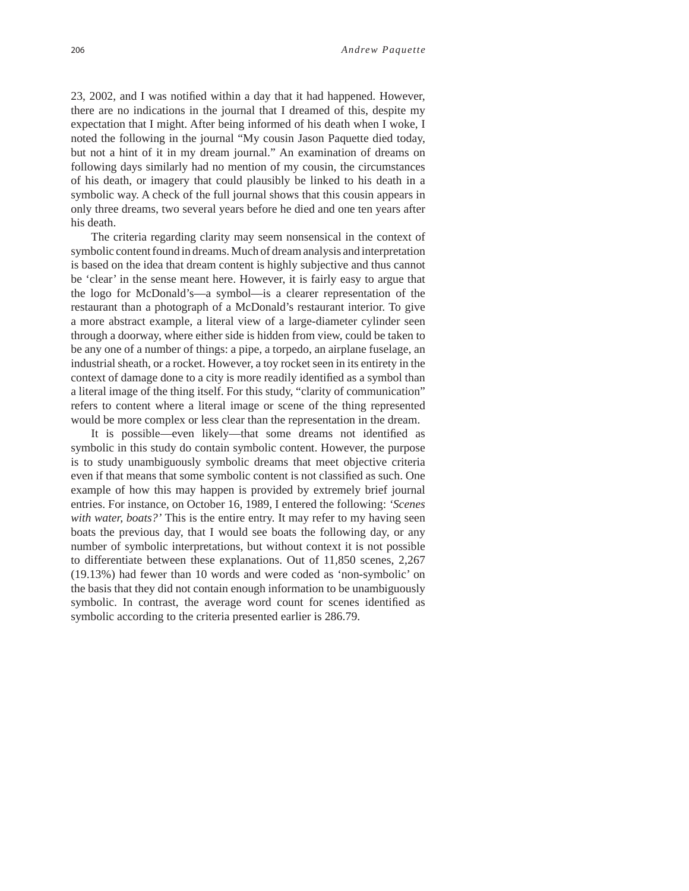23, 2002, and I was notified within a day that it had happened. However, there are no indications in the journal that I dreamed of this, despite my expectation that I might. After being informed of his death when I woke, I noted the following in the journal "My cousin Jason Paquette died today, but not a hint of it in my dream journal." An examination of dreams on following days similarly had no mention of my cousin, the circumstances of his death, or imagery that could plausibly be linked to his death in a symbolic way. A check of the full journal shows that this cousin appears in only three dreams, two several years before he died and one ten years after his death.

The criteria regarding clarity may seem nonsensical in the context of symbolic content found in dreams. Much of dream analysis and interpretation is based on the idea that dream content is highly subjective and thus cannot be 'clear' in the sense meant here. However, it is fairly easy to argue that the logo for McDonald's—a symbol—is a clearer representation of the restaurant than a photograph of a McDonald's restaurant interior. To give a more abstract example, a literal view of a large-diameter cylinder seen through a doorway, where either side is hidden from view, could be taken to be any one of a number of things: a pipe, a torpedo, an airplane fuselage, an industrial sheath, or a rocket. However, a toy rocket seen in its entirety in the context of damage done to a city is more readily identified as a symbol than a literal image of the thing itself. For this study, "clarity of communication" refers to content where a literal image or scene of the thing represented would be more complex or less clear than the representation in the dream.

It is possible—even likely—that some dreams not identified as symbolic in this study do contain symbolic content. However, the purpose is to study unambiguously symbolic dreams that meet objective criteria even if that means that some symbolic content is not classified as such. One example of how this may happen is provided by extremely brief journal entries. For instance, on October 16, 1989, I entered the following: *'Scenes with water, boats?'* This is the entire entry. It may refer to my having seen boats the previous day, that I would see boats the following day, or any number of symbolic interpretations, but without context it is not possible to differentiate between these explanations. Out of 11,850 scenes, 2,267 (19.13%) had fewer than 10 words and were coded as 'non-symbolic' on the basis that they did not contain enough information to be unambiguously symbolic. In contrast, the average word count for scenes identified as symbolic according to the criteria presented earlier is 286.79.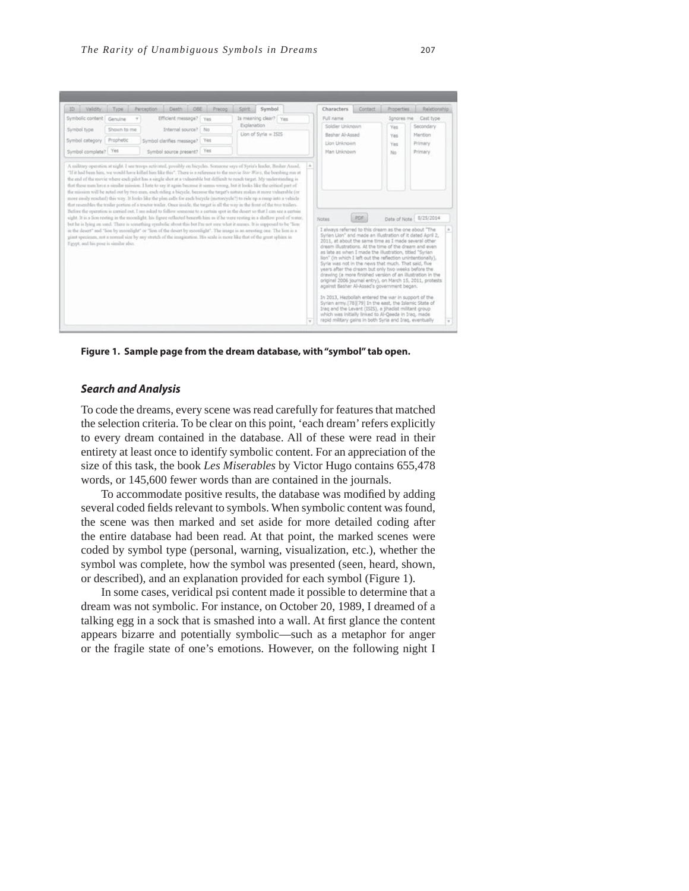

**Figure 1. Sample page from the dream database, with "symbol" tab open.** 

## *Search and Analysis*

To code the dreams, every scene was read carefully for features that matched the selection criteria. To be clear on this point, 'each dream' refers explicitly to every dream contained in the database. All of these were read in their entirety at least once to identify symbolic content. For an appreciation of the size of this task, the book *Les Miserables* by Victor Hugo contains 655,478 words, or 145,600 fewer words than are contained in the journals.

To accommodate positive results, the database was modified by adding several coded fields relevant to symbols. When symbolic content was found, the scene was then marked and set aside for more detailed coding after the entire database had been read. At that point, the marked scenes were coded by symbol type (personal, warning, visualization, etc.), whether the symbol was complete, how the symbol was presented (seen, heard, shown, or described), and an explanation provided for each symbol (Figure 1).

In some cases, veridical psi content made it possible to determine that a dream was not symbolic. For instance, on October 20, 1989, I dreamed of a talking egg in a sock that is smashed into a wall. At first glance the content appears bizarre and potentially symbolic—such as a metaphor for anger or the fragile state of one's emotions. However, on the following night I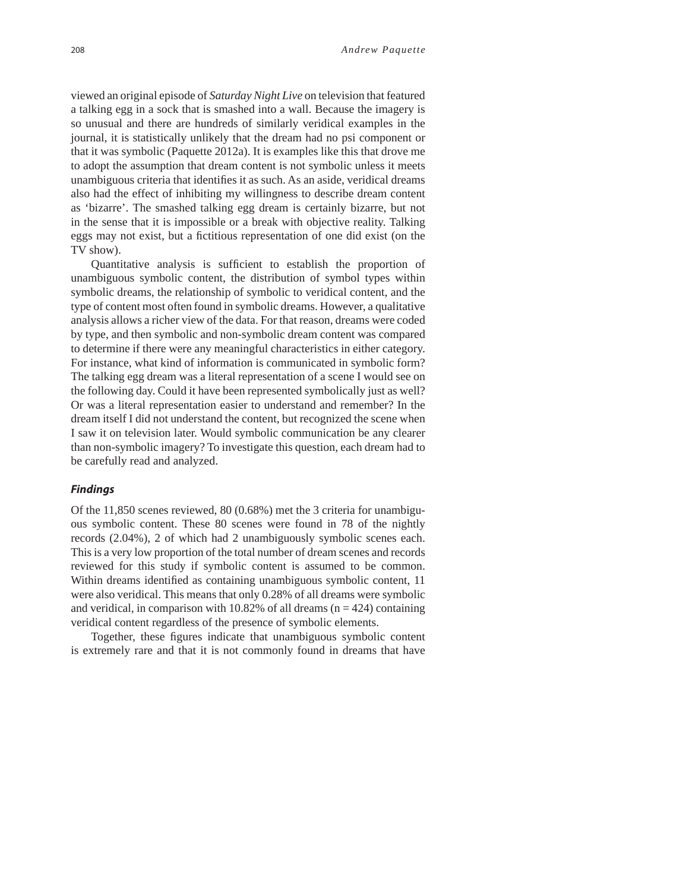viewed an original episode of *Saturday Night Live* on television that featured a talking egg in a sock that is smashed into a wall. Because the imagery is so unusual and there are hundreds of similarly veridical examples in the journal, it is statistically unlikely that the dream had no psi component or that it was symbolic (Paquette 2012a). It is examples like this that drove me to adopt the assumption that dream content is not symbolic unless it meets unambiguous criteria that identifies it as such. As an aside, veridical dreams also had the effect of inhibiting my willingness to describe dream content as 'bizarre'. The smashed talking egg dream is certainly bizarre, but not in the sense that it is impossible or a break with objective reality. Talking eggs may not exist, but a fictitious representation of one did exist (on the TV show).

Quantitative analysis is sufficient to establish the proportion of unambiguous symbolic content, the distribution of symbol types within symbolic dreams, the relationship of symbolic to veridical content, and the type of content most often found in symbolic dreams. However, a qualitative analysis allows a richer view of the data. For that reason, dreams were coded by type, and then symbolic and non-symbolic dream content was compared to determine if there were any meaningful characteristics in either category. For instance, what kind of information is communicated in symbolic form? The talking egg dream was a literal representation of a scene I would see on the following day. Could it have been represented symbolically just as well? Or was a literal representation easier to understand and remember? In the dream itself I did not understand the content, but recognized the scene when I saw it on television later. Would symbolic communication be any clearer than non-symbolic imagery? To investigate this question, each dream had to be carefully read and analyzed.

## *Findings*

Of the 11,850 scenes reviewed, 80 (0.68%) met the 3 criteria for unambiguous symbolic content. These 80 scenes were found in 78 of the nightly records (2.04%), 2 of which had 2 unambiguously symbolic scenes each. This is a very low proportion of the total number of dream scenes and records reviewed for this study if symbolic content is assumed to be common. Within dreams identified as containing unambiguous symbolic content, 11 were also veridical. This means that only 0.28% of all dreams were symbolic and veridical, in comparison with  $10.82\%$  of all dreams (n = 424) containing veridical content regardless of the presence of symbolic elements.

Together, these figures indicate that unambiguous symbolic content is extremely rare and that it is not commonly found in dreams that have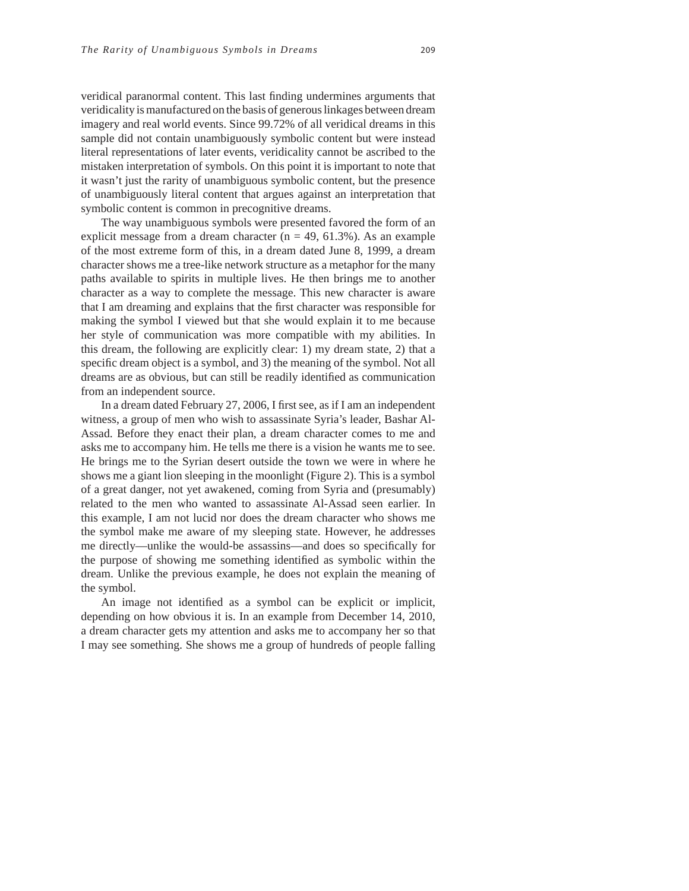veridical paranormal content. This last finding undermines arguments that veridicality is manufactured on the basis of generous linkages between dream imagery and real world events. Since 99.72% of all veridical dreams in this sample did not contain unambiguously symbolic content but were instead literal representations of later events, veridicality cannot be ascribed to the mistaken interpretation of symbols. On this point it is important to note that it wasn't just the rarity of unambiguous symbolic content, but the presence of unambiguously literal content that argues against an interpretation that symbolic content is common in precognitive dreams.

The way unambiguous symbols were presented favored the form of an explicit message from a dream character ( $n = 49, 61.3\%$ ). As an example of the most extreme form of this, in a dream dated June 8, 1999, a dream character shows me a tree-like network structure as a metaphor for the many paths available to spirits in multiple lives. He then brings me to another character as a way to complete the message. This new character is aware that I am dreaming and explains that the first character was responsible for making the symbol I viewed but that she would explain it to me because her style of communication was more compatible with my abilities. In this dream, the following are explicitly clear: 1) my dream state, 2) that a specific dream object is a symbol, and 3) the meaning of the symbol. Not all dreams are as obvious, but can still be readily identified as communication from an independent source.

In a dream dated February 27, 2006, I first see, as if I am an independent witness, a group of men who wish to assassinate Syria's leader, Bashar Al-Assad. Before they enact their plan, a dream character comes to me and asks me to accompany him. He tells me there is a vision he wants me to see. He brings me to the Syrian desert outside the town we were in where he shows me a giant lion sleeping in the moonlight (Figure 2). This is a symbol of a great danger, not yet awakened, coming from Syria and (presumably) related to the men who wanted to assassinate Al-Assad seen earlier. In this example, I am not lucid nor does the dream character who shows me the symbol make me aware of my sleeping state. However, he addresses me directly—unlike the would-be assassins—and does so specifically for the purpose of showing me something identified as symbolic within the dream. Unlike the previous example, he does not explain the meaning of the symbol.

An image not identified as a symbol can be explicit or implicit, depending on how obvious it is. In an example from December 14, 2010, a dream character gets my attention and asks me to accompany her so that I may see something. She shows me a group of hundreds of people falling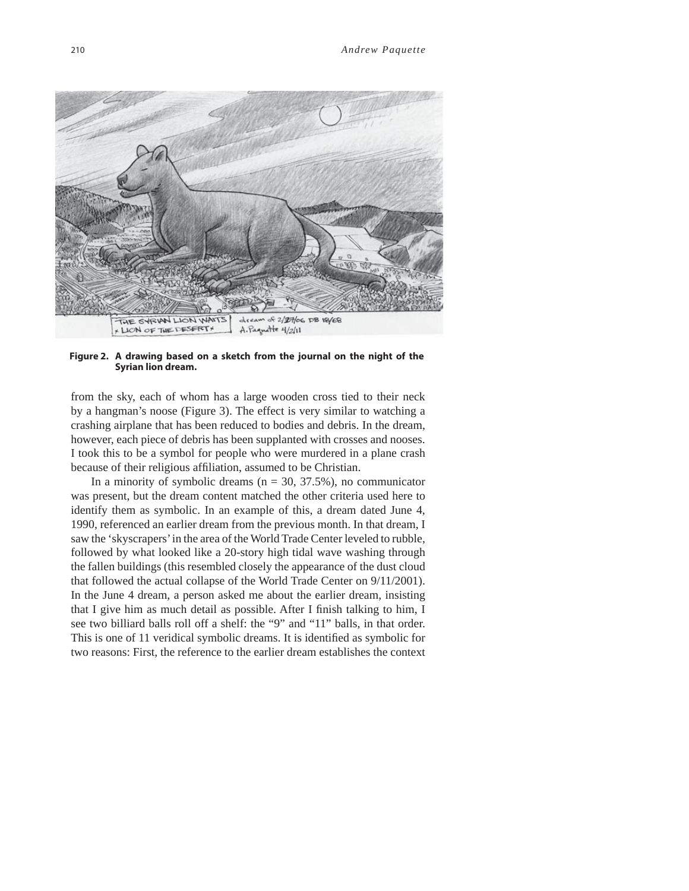

**Figure 2. A drawing based on a sketch from the journal on the night of the Syrian lion dream.**

from the sky, each of whom has a large wooden cross tied to their neck by a hangman's noose (Figure 3). The effect is very similar to watching a crashing airplane that has been reduced to bodies and debris. In the dream, however, each piece of debris has been supplanted with crosses and nooses. I took this to be a symbol for people who were murdered in a plane crash because of their religious affiliation, assumed to be Christian.

In a minority of symbolic dreams  $(n = 30, 37.5\%)$ , no communicator was present, but the dream content matched the other criteria used here to identify them as symbolic. In an example of this, a dream dated June 4, 1990, referenced an earlier dream from the previous month. In that dream, I saw the 'skyscrapers' in the area of the World Trade Center leveled to rubble, followed by what looked like a 20-story high tidal wave washing through the fallen buildings (this resembled closely the appearance of the dust cloud that followed the actual collapse of the World Trade Center on 9/11/2001). In the June 4 dream, a person asked me about the earlier dream, insisting that I give him as much detail as possible. After I finish talking to him, I see two billiard balls roll off a shelf: the "9" and "11" balls, in that order. This is one of 11 veridical symbolic dreams. It is identified as symbolic for two reasons: First, the reference to the earlier dream establishes the context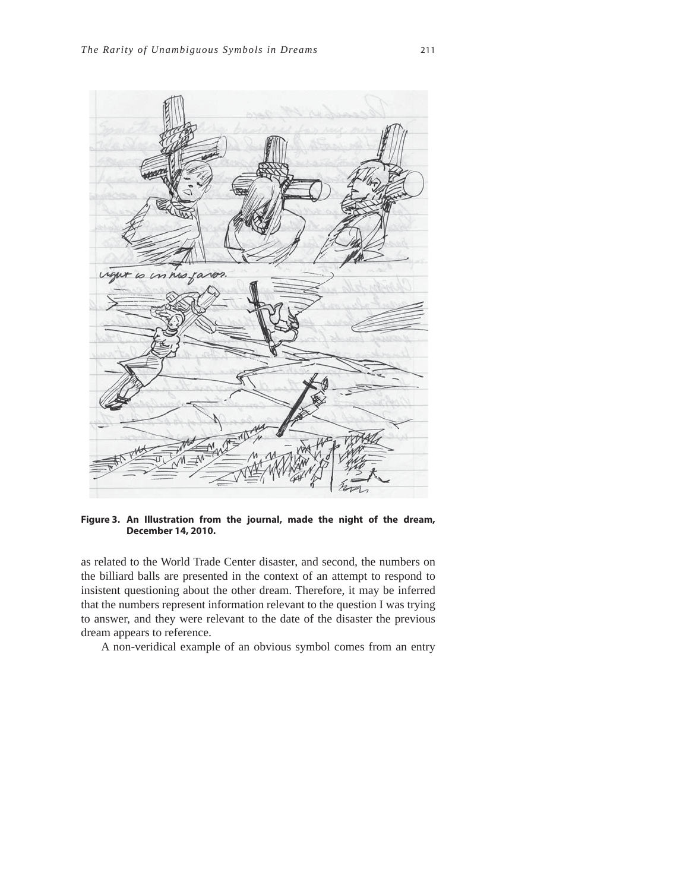

**Figure 3. An Illustration from the journal, made the night of the dream, December 14, 2010.**

as related to the World Trade Center disaster, and second, the numbers on the billiard balls are presented in the context of an attempt to respond to insistent questioning about the other dream. Therefore, it may be inferred that the numbers represent information relevant to the question I was trying to answer, and they were relevant to the date of the disaster the previous dream appears to reference.

A non-veridical example of an obvious symbol comes from an entry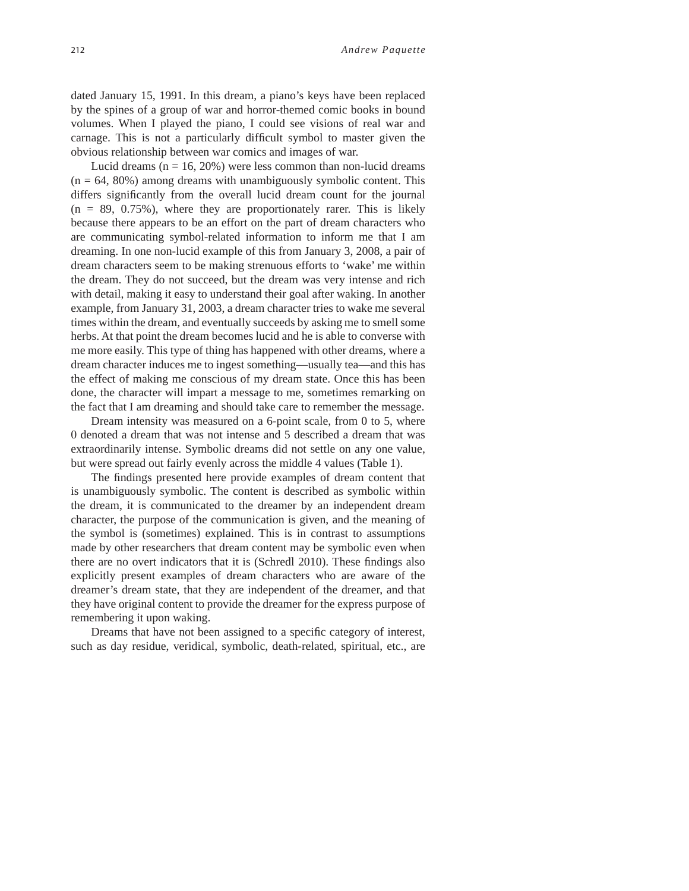dated January 15, 1991. In this dream, a piano's keys have been replaced by the spines of a group of war and horror-themed comic books in bound volumes. When I played the piano, I could see visions of real war and carnage. This is not a particularly difficult symbol to master given the obvious relationship between war comics and images of war.

Lucid dreams  $(n = 16, 20\%)$  were less common than non-lucid dreams  $(n = 64, 80\%)$  among dreams with unambiguously symbolic content. This differs significantly from the overall lucid dream count for the journal  $(n = 89, 0.75\%)$ , where they are proportionately rarer. This is likely because there appears to be an effort on the part of dream characters who are communicating symbol-related information to inform me that I am dreaming. In one non-lucid example of this from January 3, 2008, a pair of dream characters seem to be making strenuous efforts to 'wake' me within the dream. They do not succeed, but the dream was very intense and rich with detail, making it easy to understand their goal after waking. In another example, from January 31, 2003, a dream character tries to wake me several times within the dream, and eventually succeeds by asking me to smell some herbs. At that point the dream becomes lucid and he is able to converse with me more easily. This type of thing has happened with other dreams, where a dream character induces me to ingest something—usually tea—and this has the effect of making me conscious of my dream state. Once this has been done, the character will impart a message to me, sometimes remarking on the fact that I am dreaming and should take care to remember the message.

Dream intensity was measured on a 6-point scale, from 0 to 5, where 0 denoted a dream that was not intense and 5 described a dream that was extraordinarily intense. Symbolic dreams did not settle on any one value, but were spread out fairly evenly across the middle 4 values (Table 1).

The findings presented here provide examples of dream content that is unambiguously symbolic. The content is described as symbolic within the dream, it is communicated to the dreamer by an independent dream character, the purpose of the communication is given, and the meaning of the symbol is (sometimes) explained. This is in contrast to assumptions made by other researchers that dream content may be symbolic even when there are no overt indicators that it is (Schredl 2010). These findings also explicitly present examples of dream characters who are aware of the dreamer's dream state, that they are independent of the dreamer, and that they have original content to provide the dreamer for the express purpose of remembering it upon waking.

Dreams that have not been assigned to a specific category of interest, such as day residue, veridical, symbolic, death-related, spiritual, etc., are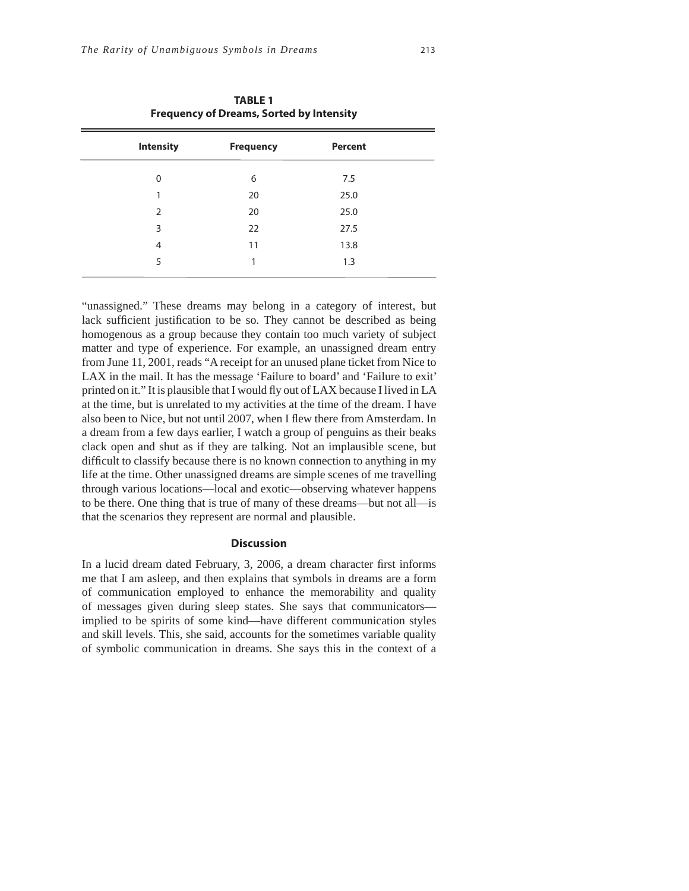| <b>TABLE 1</b><br><b>Frequency of Dreams, Sorted by Intensity</b> |                  |                |  |
|-------------------------------------------------------------------|------------------|----------------|--|
| <b>Intensity</b>                                                  | <b>Frequency</b> | <b>Percent</b> |  |
| $\Omega$                                                          | 6                | 7.5            |  |
| 1                                                                 | 20               | 25.0           |  |
| $\mathcal{P}$                                                     | 20               | 25.0           |  |
| 3                                                                 | 22               | 27.5           |  |
| $\overline{4}$                                                    | 11               | 13.8           |  |
| 5                                                                 | 1                | 1.3            |  |
|                                                                   |                  |                |  |

"unassigned." These dreams may belong in a category of interest, but lack sufficient justification to be so. They cannot be described as being homogenous as a group because they contain too much variety of subject matter and type of experience. For example, an unassigned dream entry from June 11, 2001, reads "A receipt for an unused plane ticket from Nice to LAX in the mail. It has the message 'Failure to board' and 'Failure to exit' printed on it." It is plausible that I would fly out of LAX because I lived in LA at the time, but is unrelated to my activities at the time of the dream. I have also been to Nice, but not until 2007, when I flew there from Amsterdam. In a dream from a few days earlier, I watch a group of penguins as their beaks clack open and shut as if they are talking. Not an implausible scene, but difficult to classify because there is no known connection to anything in my life at the time. Other unassigned dreams are simple scenes of me travelling through various locations—local and exotic—observing whatever happens to be there. One thing that is true of many of these dreams—but not all—is that the scenarios they represent are normal and plausible.

## **Discussion**

In a lucid dream dated February, 3, 2006, a dream character first informs me that I am asleep, and then explains that symbols in dreams are a form of communication employed to enhance the memorability and quality of messages given during sleep states. She says that communicators implied to be spirits of some kind—have different communication styles and skill levels. This, she said, accounts for the sometimes variable quality of symbolic communication in dreams. She says this in the context of a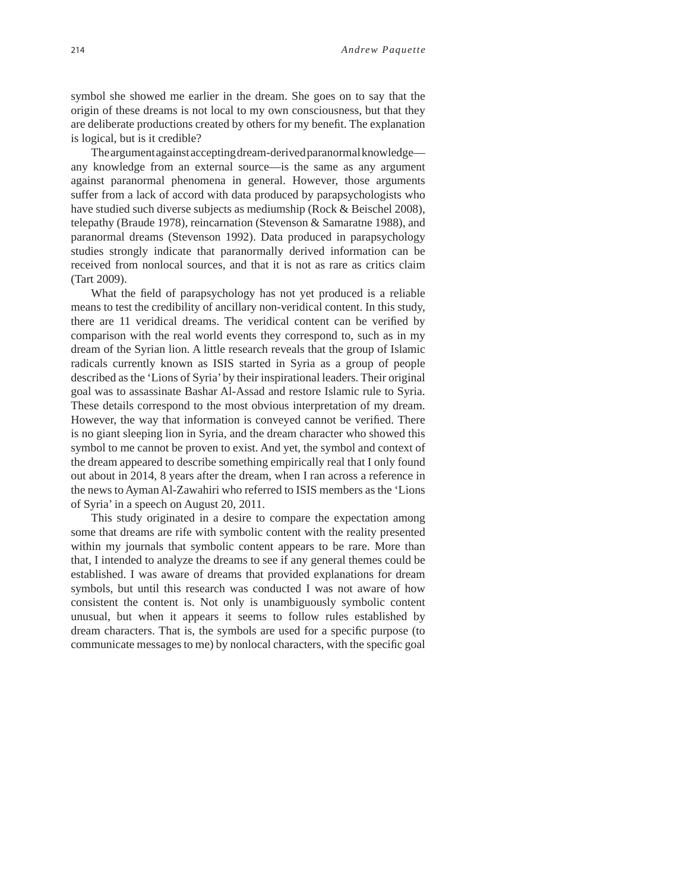symbol she showed me earlier in the dream. She goes on to say that the origin of these dreams is not local to my own consciousness, but that they are deliberate productions created by others for my benefit. The explanation is logical, but is it credible?

The argument against accepting dream-derived paranormal knowledge any knowledge from an external source—is the same as any argument against paranormal phenomena in general. However, those arguments suffer from a lack of accord with data produced by parapsychologists who have studied such diverse subjects as mediumship (Rock & Beischel 2008), telepathy (Braude 1978), reincarnation (Stevenson & Samaratne 1988), and paranormal dreams (Stevenson 1992). Data produced in parapsychology studies strongly indicate that paranormally derived information can be received from nonlocal sources, and that it is not as rare as critics claim (Tart 2009).

What the field of parapsychology has not yet produced is a reliable means to test the credibility of ancillary non-veridical content. In this study, there are 11 veridical dreams. The veridical content can be verified by comparison with the real world events they correspond to, such as in my dream of the Syrian lion. A little research reveals that the group of Islamic radicals currently known as ISIS started in Syria as a group of people described as the 'Lions of Syria' by their inspirational leaders. Their original goal was to assassinate Bashar Al-Assad and restore Islamic rule to Syria. These details correspond to the most obvious interpretation of my dream. However, the way that information is conveyed cannot be verified. There is no giant sleeping lion in Syria, and the dream character who showed this symbol to me cannot be proven to exist. And yet, the symbol and context of the dream appeared to describe something empirically real that I only found out about in 2014, 8 years after the dream, when I ran across a reference in the news to Ayman Al-Zawahiri who referred to ISIS members as the 'Lions of Syria' in a speech on August 20, 2011.

This study originated in a desire to compare the expectation among some that dreams are rife with symbolic content with the reality presented within my journals that symbolic content appears to be rare. More than that, I intended to analyze the dreams to see if any general themes could be established. I was aware of dreams that provided explanations for dream symbols, but until this research was conducted I was not aware of how consistent the content is. Not only is unambiguously symbolic content unusual, but when it appears it seems to follow rules established by dream characters. That is, the symbols are used for a specific purpose (to communicate messages to me) by nonlocal characters, with the specific goal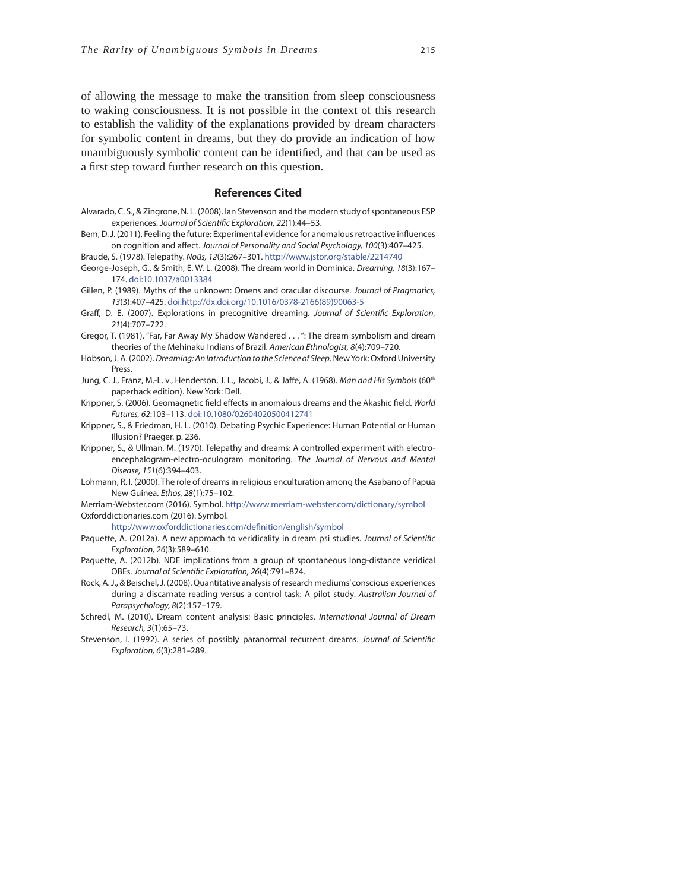of allowing the message to make the transition from sleep consciousness to waking consciousness. It is not possible in the context of this research to establish the validity of the explanations provided by dream characters for symbolic content in dreams, but they do provide an indication of how unambiguously symbolic content can be identified, and that can be used as a first step toward further research on this question.

#### **References Cited**

- Alvarado, C. S., & Zingrone, N. L. (2008). Ian Stevenson and the modern study of spontaneous ESP experiences. Journal of Scientific Exploration, 22(1):44-53.
- Bem, D. J. (2011). Feeling the future: Experimental evidence for anomalous retroactive influences on cognition and affect. Journal of Personality and Social Psychology, 100(3):407-425.

Braude, S. (1978). Telepathy. Noûs, 12(3):267–301. http://www.jstor.org/stable/2214740 George-Joseph, G., & Smith, E. W. L. (2008). The dream world in Dominica. Dreaming, 18(3):167– 174. doi:10.1037/a0013384

- Gillen, P. (1989). Myths of the unknown: Omens and oracular discourse. Journal of Pragmatics, 13(3):407–425. doi:http://dx.doi.org/10.1016/0378-2166(89)90063-5
- Graff, D. E. (2007). Explorations in precognitive dreaming. Journal of Scientific Exploration, 21(4):707–722.
- Gregor, T. (1981). "Far, Far Away My Shadow Wandered . . . ": The dream symbolism and dream theories of the Mehinaku Indians of Brazil. American Ethnologist, 8(4):709–720.
- Hobson, J. A. (2002). Dreaming: An Introduction to the Science of Sleep. New York: Oxford University Press.
- Jung, C. J., Franz, M.-L. v., Henderson, J. L., Jacobi, J., & Jaffe, A. (1968). Man and His Symbols (60<sup>th</sup> paperback edition). New York: Dell.
- Krippner, S. (2006). Geomagnetic field effects in anomalous dreams and the Akashic field. World Futures, 62:103–113. doi:10.1080/02604020500412741
- Krippner, S., & Friedman, H. L. (2010). Debating Psychic Experience: Human Potential or Human Illusion? Praeger. p. 236.
- Krippner, S., & Ullman, M. (1970). Telepathy and dreams: A controlled experiment with electroencephalogram-electro-oculogram monitoring. The Journal of Nervous and Mental Disease, 151(6):394–403.
- Lohmann, R. I. (2000). The role of dreams in religious enculturation among the Asabano of Papua New Guinea. Ethos, 28(1):75–102.

Merriam-Webster.com (2016). Symbol. http://www.merriam-webster.com/dictionary/symbol Oxforddictionaries.com (2016). Symbol.

http://www.oxforddictionaries.com/definition/english/symbol

- Paquette, A. (2012a). A new approach to veridicality in dream psi studies. Journal of Scientific Exploration, 26(3):589–610.
- Paquette, A. (2012b). NDE implications from a group of spontaneous long-distance veridical OBEs. Journal of Scientific Exploration, 26(4):791-824.
- Rock, A. J., & Beischel, J. (2008). Quantitative analysis of research mediums' conscious experiences during a discarnate reading versus a control task: A pilot study. Australian Journal of Parapsychology, 8(2):157-179.
- Schredl, M. (2010). Dream content analysis: Basic principles. International Journal of Dream Research, 3(1):65–73.
- Stevenson, I. (1992). A series of possibly paranormal recurrent dreams. Journal of Scientific Exploration, 6(3):281–289.